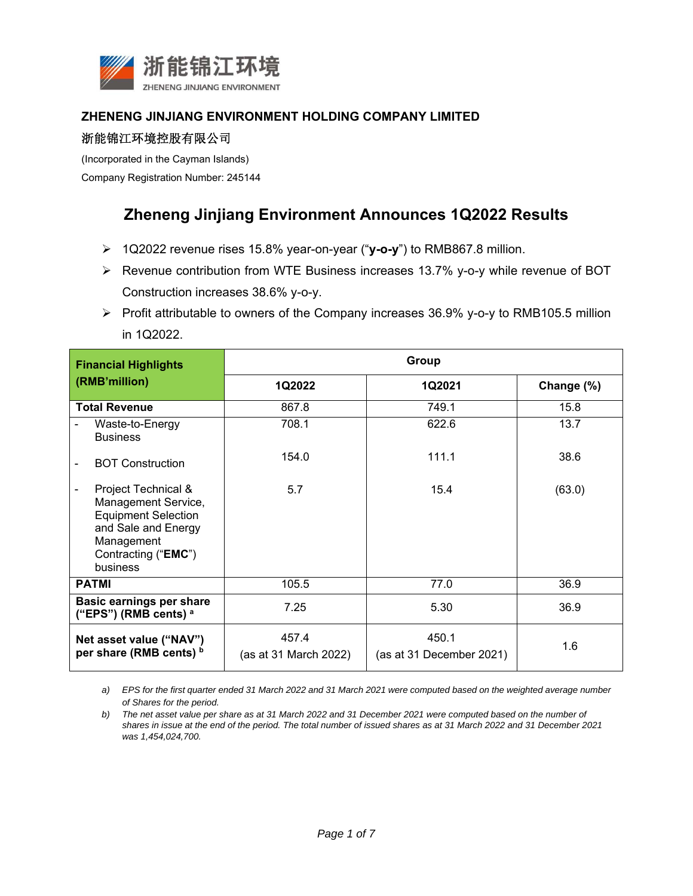

#### **ZHENENG JINJIANG ENVIRONMENT HOLDING COMPANY LIMITED**

### 浙能锦江环境控股有限公司

(Incorporated in the Cayman Islands)

Company Registration Number: 245144

# **Zheneng Jinjiang Environment Announces 1Q2022 Results**

- 1Q2022 revenue rises 15.8% year-on-year ("**y-o-y**") to RMB867.8 million.
- Revenue contribution from WTE Business increases 13.7% y-o-y while revenue of BOT Construction increases 38.6% y-o-y.
- $\triangleright$  Profit attributable to owners of the Company increases 36.9% y-o-y to RMB105.5 million in 1Q2022.

| <b>Financial Highlights</b><br>(RMB'million)                                                                                                     | Group                          |                                   |            |
|--------------------------------------------------------------------------------------------------------------------------------------------------|--------------------------------|-----------------------------------|------------|
|                                                                                                                                                  | 1Q2022                         | 1Q2021                            | Change (%) |
| <b>Total Revenue</b>                                                                                                                             | 867.8                          | 749.1                             | 15.8       |
| Waste-to-Energy<br><b>Business</b>                                                                                                               | 708.1                          | 622.6                             | 13.7       |
| <b>BOT Construction</b>                                                                                                                          | 154.0                          | 111.1                             | 38.6       |
| Project Technical &<br>Management Service,<br><b>Equipment Selection</b><br>and Sale and Energy<br>Management<br>Contracting ("EMC")<br>business | 5.7                            | 15.4                              | (63.0)     |
| <b>PATMI</b>                                                                                                                                     | 105.5                          | 77.0                              | 36.9       |
| <b>Basic earnings per share</b><br>("EPS") (RMB cents) <sup>a</sup>                                                                              | 7.25                           | 5.30                              | 36.9       |
| Net asset value ("NAV")<br>per share (RMB cents) b                                                                                               | 457.4<br>(as at 31 March 2022) | 450.1<br>(as at 31 December 2021) | 1.6        |

*a) EPS for the first quarter ended 31 March 2022 and 31 March 2021 were computed based on the weighted average number of Shares for the period.* 

*b*) The net asset value per share as at 31 March 2022 and 31 December 2021 were computed based on the number of *shares in issue at the end of the period. The total number of issued shares as at 31 March 2022 and 31 December 2021 was 1,454,024,700.*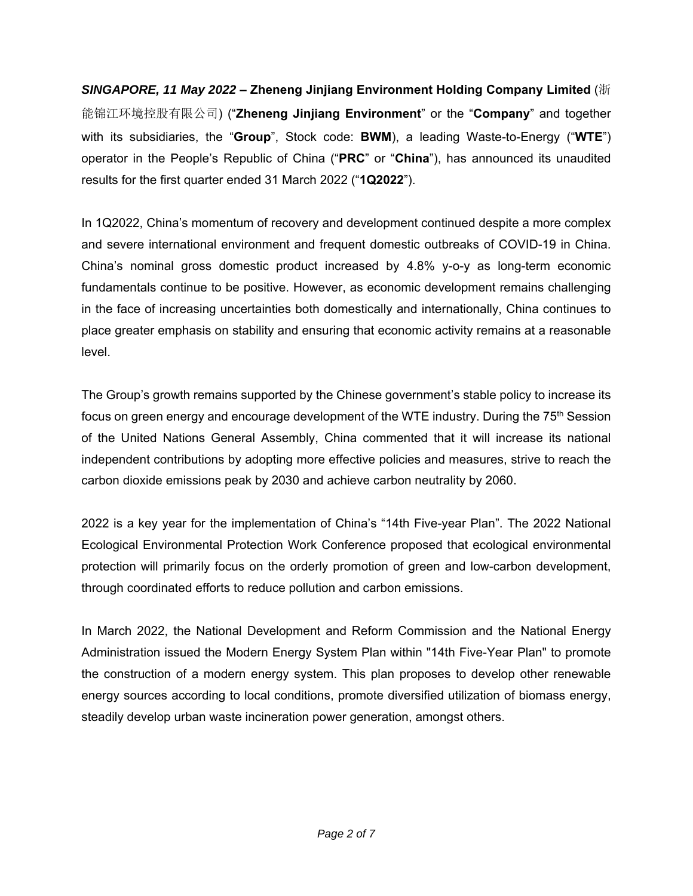*SINGAPORE, 11 May 2022* **– Zheneng Jinjiang Environment Holding Company Limited** (浙 能锦江环境控股有限公司) ("**Zheneng Jinjiang Environment**" or the "**Company**" and together with its subsidiaries, the "**Group**", Stock code: **BWM**), a leading Waste-to-Energy ("**WTE**") operator in the People's Republic of China ("**PRC**" or "**China**"), has announced its unaudited results for the first quarter ended 31 March 2022 ("**1Q2022**").

In 1Q2022, China's momentum of recovery and development continued despite a more complex and severe international environment and frequent domestic outbreaks of COVID-19 in China. China's nominal gross domestic product increased by 4.8% y-o-y as long-term economic fundamentals continue to be positive. However, as economic development remains challenging in the face of increasing uncertainties both domestically and internationally, China continues to place greater emphasis on stability and ensuring that economic activity remains at a reasonable level.

The Group's growth remains supported by the Chinese government's stable policy to increase its focus on green energy and encourage development of the WTE industry. During the 75<sup>th</sup> Session of the United Nations General Assembly, China commented that it will increase its national independent contributions by adopting more effective policies and measures, strive to reach the carbon dioxide emissions peak by 2030 and achieve carbon neutrality by 2060.

2022 is a key year for the implementation of China's "14th Five-year Plan". The 2022 National Ecological Environmental Protection Work Conference proposed that ecological environmental protection will primarily focus on the orderly promotion of green and low-carbon development, through coordinated efforts to reduce pollution and carbon emissions.

In March 2022, the National Development and Reform Commission and the National Energy Administration issued the Modern Energy System Plan within "14th Five-Year Plan" to promote the construction of a modern energy system. This plan proposes to develop other renewable energy sources according to local conditions, promote diversified utilization of biomass energy, steadily develop urban waste incineration power generation, amongst others.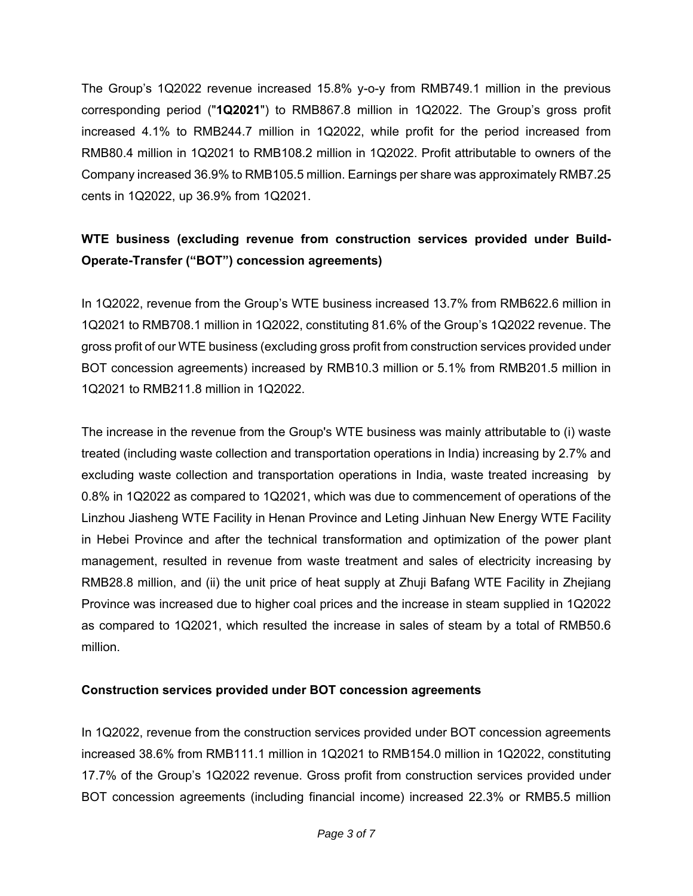The Group's 1Q2022 revenue increased 15.8% y-o-y from RMB749.1 million in the previous corresponding period ("**1Q2021**") to RMB867.8 million in 1Q2022. The Group's gross profit increased 4.1% to RMB244.7 million in 1Q2022, while profit for the period increased from RMB80.4 million in 1Q2021 to RMB108.2 million in 1Q2022. Profit attributable to owners of the Company increased 36.9% to RMB105.5 million. Earnings per share was approximately RMB7.25 cents in 1Q2022, up 36.9% from 1Q2021.

## **WTE business (excluding revenue from construction services provided under Build-Operate-Transfer ("BOT") concession agreements)**

In 1Q2022, revenue from the Group's WTE business increased 13.7% from RMB622.6 million in 1Q2021 to RMB708.1 million in 1Q2022, constituting 81.6% of the Group's 1Q2022 revenue. The gross profit of our WTE business (excluding gross profit from construction services provided under BOT concession agreements) increased by RMB10.3 million or 5.1% from RMB201.5 million in 1Q2021 to RMB211.8 million in 1Q2022.

The increase in the revenue from the Group's WTE business was mainly attributable to (i) waste treated (including waste collection and transportation operations in India) increasing by 2.7% and excluding waste collection and transportation operations in India, waste treated increasing by 0.8% in 1Q2022 as compared to 1Q2021, which was due to commencement of operations of the Linzhou Jiasheng WTE Facility in Henan Province and Leting Jinhuan New Energy WTE Facility in Hebei Province and after the technical transformation and optimization of the power plant management, resulted in revenue from waste treatment and sales of electricity increasing by RMB28.8 million, and (ii) the unit price of heat supply at Zhuji Bafang WTE Facility in Zhejiang Province was increased due to higher coal prices and the increase in steam supplied in 1Q2022 as compared to 1Q2021, which resulted the increase in sales of steam by a total of RMB50.6 million.

### **Construction services provided under BOT concession agreements**

In 1Q2022, revenue from the construction services provided under BOT concession agreements increased 38.6% from RMB111.1 million in 1Q2021 to RMB154.0 million in 1Q2022, constituting 17.7% of the Group's 1Q2022 revenue. Gross profit from construction services provided under BOT concession agreements (including financial income) increased 22.3% or RMB5.5 million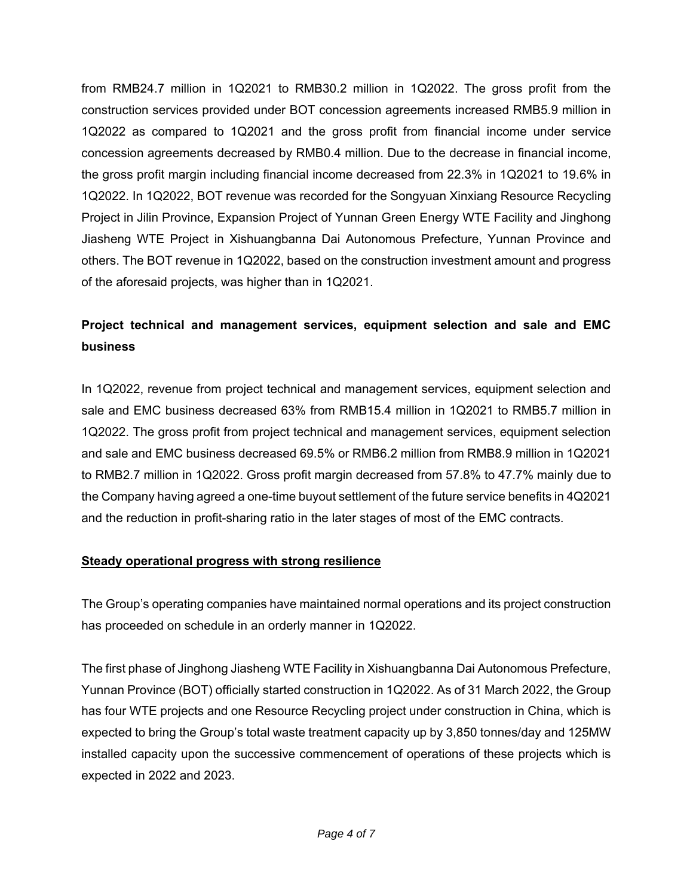from RMB24.7 million in 1Q2021 to RMB30.2 million in 1Q2022. The gross profit from the construction services provided under BOT concession agreements increased RMB5.9 million in 1Q2022 as compared to 1Q2021 and the gross profit from financial income under service concession agreements decreased by RMB0.4 million. Due to the decrease in financial income, the gross profit margin including financial income decreased from 22.3% in 1Q2021 to 19.6% in 1Q2022. In 1Q2022, BOT revenue was recorded for the Songyuan Xinxiang Resource Recycling Project in Jilin Province, Expansion Project of Yunnan Green Energy WTE Facility and Jinghong Jiasheng WTE Project in Xishuangbanna Dai Autonomous Prefecture, Yunnan Province and others. The BOT revenue in 1Q2022, based on the construction investment amount and progress of the aforesaid projects, was higher than in 1Q2021.

# **Project technical and management services, equipment selection and sale and EMC business**

In 1Q2022, revenue from project technical and management services, equipment selection and sale and EMC business decreased 63% from RMB15.4 million in 1Q2021 to RMB5.7 million in 1Q2022. The gross profit from project technical and management services, equipment selection and sale and EMC business decreased 69.5% or RMB6.2 million from RMB8.9 million in 1Q2021 to RMB2.7 million in 1Q2022. Gross profit margin decreased from 57.8% to 47.7% mainly due to the Company having agreed a one-time buyout settlement of the future service benefits in 4Q2021 and the reduction in profit-sharing ratio in the later stages of most of the EMC contracts.

### **Steady operational progress with strong resilience**

The Group's operating companies have maintained normal operations and its project construction has proceeded on schedule in an orderly manner in 1Q2022.

The first phase of Jinghong Jiasheng WTE Facility in Xishuangbanna Dai Autonomous Prefecture, Yunnan Province (BOT) officially started construction in 1Q2022. As of 31 March 2022, the Group has four WTE projects and one Resource Recycling project under construction in China, which is expected to bring the Group's total waste treatment capacity up by 3,850 tonnes/day and 125MW installed capacity upon the successive commencement of operations of these projects which is expected in 2022 and 2023.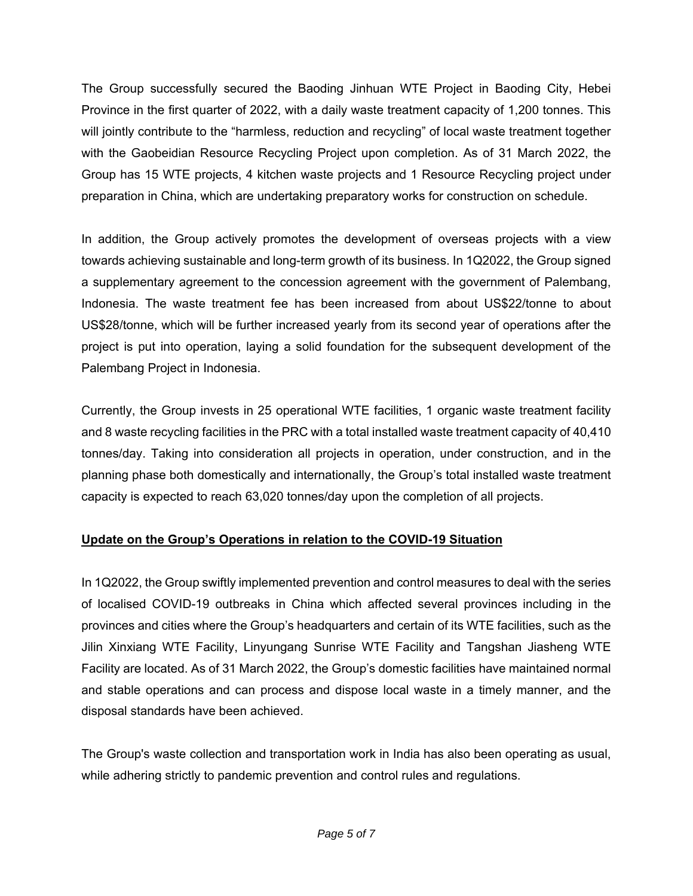The Group successfully secured the Baoding Jinhuan WTE Project in Baoding City, Hebei Province in the first quarter of 2022, with a daily waste treatment capacity of 1,200 tonnes. This will jointly contribute to the "harmless, reduction and recycling" of local waste treatment together with the Gaobeidian Resource Recycling Project upon completion. As of 31 March 2022, the Group has 15 WTE projects, 4 kitchen waste projects and 1 Resource Recycling project under preparation in China, which are undertaking preparatory works for construction on schedule.

In addition, the Group actively promotes the development of overseas projects with a view towards achieving sustainable and long-term growth of its business. In 1Q2022, the Group signed a supplementary agreement to the concession agreement with the government of Palembang, Indonesia. The waste treatment fee has been increased from about US\$22/tonne to about US\$28/tonne, which will be further increased yearly from its second year of operations after the project is put into operation, laying a solid foundation for the subsequent development of the Palembang Project in Indonesia.

Currently, the Group invests in 25 operational WTE facilities, 1 organic waste treatment facility and 8 waste recycling facilities in the PRC with a total installed waste treatment capacity of 40,410 tonnes/day. Taking into consideration all projects in operation, under construction, and in the planning phase both domestically and internationally, the Group's total installed waste treatment capacity is expected to reach 63,020 tonnes/day upon the completion of all projects.

### **Update on the Group's Operations in relation to the COVID-19 Situation**

In 1Q2022, the Group swiftly implemented prevention and control measures to deal with the series of localised COVID-19 outbreaks in China which affected several provinces including in the provinces and cities where the Group's headquarters and certain of its WTE facilities, such as the Jilin Xinxiang WTE Facility, Linyungang Sunrise WTE Facility and Tangshan Jiasheng WTE Facility are located. As of 31 March 2022, the Group's domestic facilities have maintained normal and stable operations and can process and dispose local waste in a timely manner, and the disposal standards have been achieved.

The Group's waste collection and transportation work in India has also been operating as usual, while adhering strictly to pandemic prevention and control rules and regulations.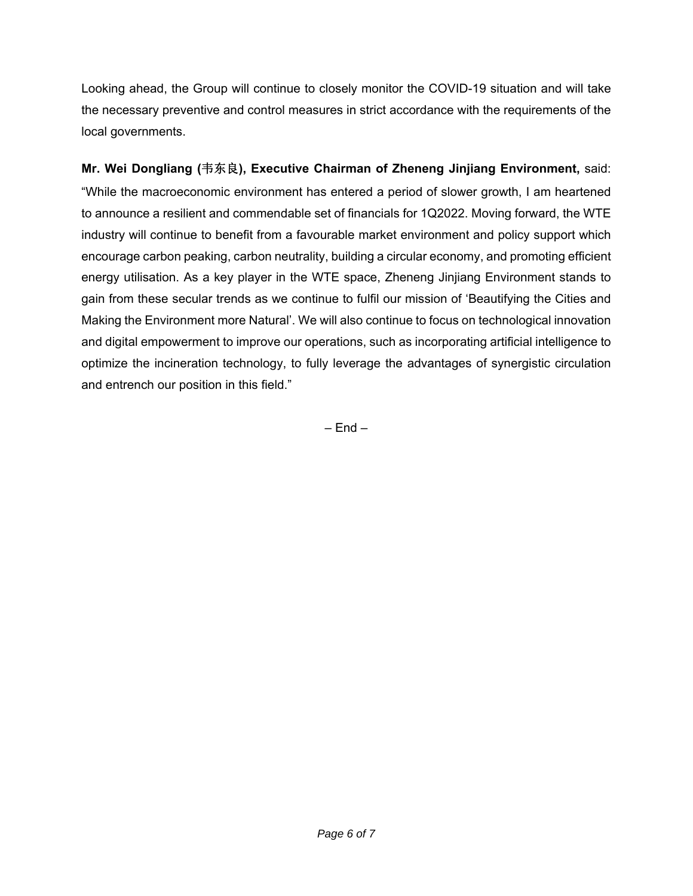Looking ahead, the Group will continue to closely monitor the COVID-19 situation and will take the necessary preventive and control measures in strict accordance with the requirements of the local governments.

**Mr. Wei Dongliang (**韦东良**), Executive Chairman of Zheneng Jinjiang Environment,** said: "While the macroeconomic environment has entered a period of slower growth, I am heartened to announce a resilient and commendable set of financials for 1Q2022. Moving forward, the WTE industry will continue to benefit from a favourable market environment and policy support which encourage carbon peaking, carbon neutrality, building a circular economy, and promoting efficient energy utilisation. As a key player in the WTE space, Zheneng Jinjiang Environment stands to gain from these secular trends as we continue to fulfil our mission of 'Beautifying the Cities and Making the Environment more Natural'. We will also continue to focus on technological innovation and digital empowerment to improve our operations, such as incorporating artificial intelligence to optimize the incineration technology, to fully leverage the advantages of synergistic circulation and entrench our position in this field."

 $-$  Fnd  $-$